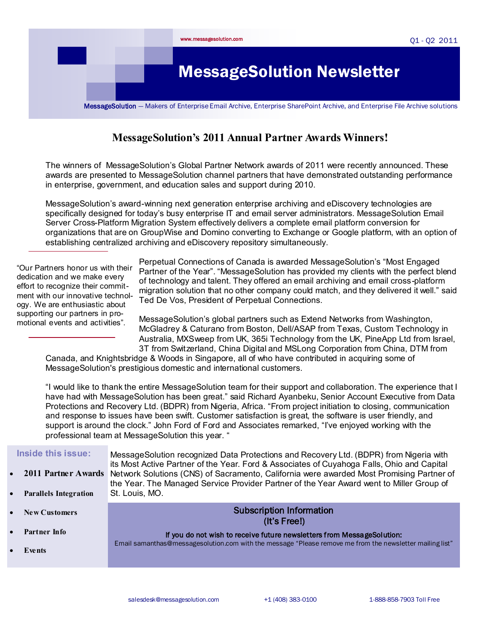

# **MessageSolution's 2011 Annual Partner Awards Winners!**

The winners of MessageSolution's Global Partner Network awards of 2011 were recently announced. These awards are presented to MessageSolution channel partners that have demonstrated outstanding performance in enterprise, government, and education sales and support during 2010.

MessageSolution's award-winning next generation enterprise archiving and eDiscovery technologies are specifically designed for today's busy enterprise IT and email server administrators. MessageSolution Email Server Cross-Platform Migration System effectively delivers a complete email platform conversion for organizations that are on GroupWise and Domino converting to Exchange or Google platform, with an option of establishing centralized archiving and eDiscovery repository simultaneously.

"Our Partners honor us with their dedication and we make every effort to recognize their commitment with our innovative technology. We are enthusiastic about supporting our partners in promotional events and activities".

Perpetual Connections of Canada is awarded MessageSolution's "Most Engaged Partner of the Year". "MessageSolution has provided my clients with the perfect blend of technology and talent. They offered an email archiving and email cross-platform migration solution that no other company could match, and they delivered it well." said Ted De Vos, President of Perpetual Connections.

MessageSolution's global partners such as Extend Networks from Washington, McGladrey & Caturano from Boston, Dell/ASAP from Texas, Custom Technology in Australia, MXSweep from UK, 365i Technology from the UK, PineApp Ltd from Israel, 3T from Switzerland, China Digital and MSLong Corporation from China, DTM from

Canada, and Knightsbridge & Woods in Singapore, all of who have contributed in acquiring some of MessageSolution's prestigious domestic and international customers.

"I would like to thank the entire MessageSolution team for their support and collaboration. The experience that I have had with MessageSolution has been great." said Richard Ayanbeku, Senior Account Executive from Data Protections and Recovery Ltd. (BDPR) from Nigeria, Africa. "From project initiation to closing, communication and response to issues have been swift. Customer satisfaction is great, the software is user friendly, and support is around the clock." John Ford of Ford and Associates remarked, "I've enjoyed working with the professional team at MessageSolution this year. "

| Inside this issue:               | MessageSolution recognized Data Protections and Recovery Ltd. (BDPR) from Nigeria with                                                                                                                                                                                             |
|----------------------------------|------------------------------------------------------------------------------------------------------------------------------------------------------------------------------------------------------------------------------------------------------------------------------------|
| 2011 Partner Awards<br>$\bullet$ | its Most Active Partner of the Year. Ford & Associates of Cuyahoga Falls, Ohio and Capital<br>Network Solutions (CNS) of Sacramento, California were awarded Most Promising Partner of<br>the Year. The Managed Service Provider Partner of the Year Award went to Miller Group of |
| <b>Parallels Integration</b>     | St. Louis, MO.                                                                                                                                                                                                                                                                     |
|                                  |                                                                                                                                                                                                                                                                                    |
| <b>New Customers</b>             | <b>Subscription Information</b><br>(lt's Free!)                                                                                                                                                                                                                                    |
| Partner Info                     | If you do not wish to receive future newsletters from MessageSolution:                                                                                                                                                                                                             |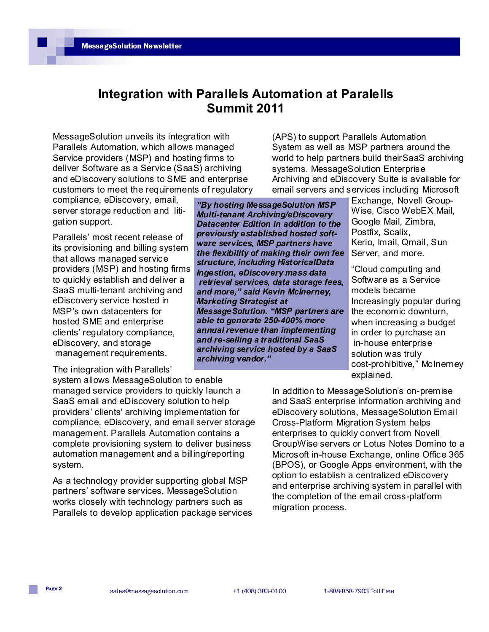# **Integration with Parallels Automation at Paralells Summit 2011**

MessageSolution unveils its integration with Parallels Automation, which allows managed Service providers (MSP) and hosting firms to deliver Software as a Service (SaaS) archiving and eDiscovery solutions to SME and enterprise customers to meet the requirements of regulatory

compliance, eDiscovery, email, server storage reduction and litigation support.

Parallels' most recent release of its provisioning and billing system that allows managed service providers (MSP) and hosting firms to quickly establish and deliver a SaaS multi-tenant archiving and eDiscovery service hosted in MSP's own datacenters for hosted SME and enterprise clients' regulatory compliance, eDiscovery, and storage management requirements.

The integration with Parallels'

system allows MessageSolution to enable managed service providers to quickly launch a SaaS email and eDiscovery solution to help providers' clients' archiving implementation for compliance, eDiscovery, and email server storage management. Parallels Automation contains a complete provisioning system to deliver business automation management and a billing/reporting system.

As a technology provider supporting global MSP partners' software services, MessageSolution works closely with technology partners such as Parallels to develop application package services (APS) to support Parallels Automation System as well as MSP partners around the world to help partners build theirSaaS archiving systems. MessageSolution Enterprise Archiving and eDiscovery Suite is available for email servers and services including Microsoft

*"By hosting MessageSolution MSP Multi-tenant Archiving/eDiscovery Datacenter Edition in addition to the previously established hosted software services, MSP partners have the flexibility of making their own fee structure, including HistoricalData Ingestion, eDiscovery mass data retrieval services, data storage fees, and more," said Kevin McInerney, Marketing Strategist at MessageSolution. "MSP partners are able to generate 250-400% more annual revenue than implementing and re-selling a traditional SaaS archiving service hosted by a SaaS archiving vendor."*

Exchange, Novell Group-Wise, Cisco WebEX Mail, Google Mail, Zimbra, Postfix, Scalix, Kerio, Imail, Qmail, Sun Server, and more.

"Cloud computing and Software as a Service models became Increasingly popular during the economic downturn, when increasing a budget in order to purchase an in-house enterprise solution was truly cost-prohibitive," McInerney explained.

In addition to MessageSolution's on-premise and SaaS enterprise information archiving and eDiscovery solutions, MessageSolution Email Cross-Platform Migration System helps enterprises to quickly convert from Novell GroupWise servers or Lotus Notes Domino to a Microsoft in-house Exchange, online Office 365 (BPOS), or Google Apps environment, with the option to establish a centralized eDiscovery and enterprise archiving system in parallel with the completion of the email cross-platform migration process.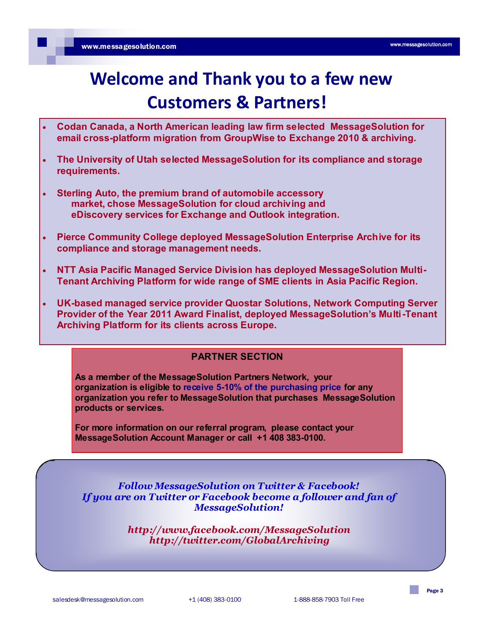# **Welcome and Thank you to a few new Customers & Partners!**

- **Codan Canada, a North American leading law firm selected MessageSolution for email cross-platform migration from GroupWise to Exchange 2010 & archiving.**
- **The University of Utah selected MessageSolution for its compliance and storage requirements.**
- **Sterling Auto, the premium brand of automobile accessory market, chose MessageSolution for cloud archiving and eDiscovery services for Exchange and Outlook integration.**
- **Pierce Community College deployed MessageSolution Enterprise Archive for its compliance and storage management needs.**
- **NTT Asia Pacific Managed Service Division has deployed MessageSolution Multi-Tenant Archiving Platform for wide range of SME clients in Asia Pacific Region.**
- **UK-based managed service provider Quostar Solutions, Network Computing Server Provider of the Year 2011 Award Finalist, deployed MessageSolution's Multi-Tenant Archiving Platform for its clients across Europe.**

#### **PARTNER SECTION**

**As a member of the MessageSolution Partners Network, your organization is eligible to receive 5-10% of the purchasing price for any organization you refer to MessageSolution that purchases MessageSolution products or services.**

**For more information on our referral program, please contact your MessageSolution Account Manager or call +1 408 383-0100.**

*Follow MessageSolution on Twitter & Facebook! If you are on Twitter or Facebook become a follower and fan of MessageSolution!*

> *http://www.facebook.com/MessageSolution http://twitter.com/GlobalArchiving*